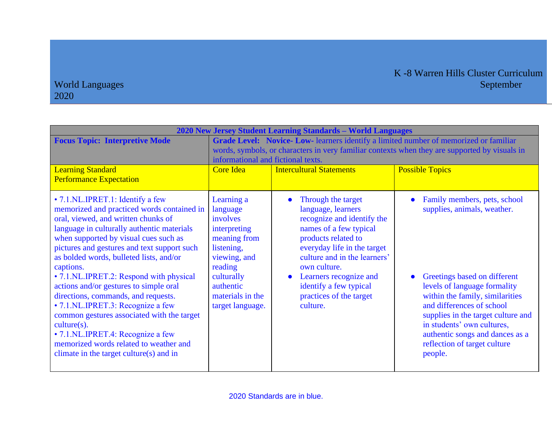| 2020 New Jersey Student Learning Standards - World Languages                                                                                                                                                                                                                                                                                                                                                                                                                                                                                                                                                                                                                   |                                                                                                                                                                                                                                                                                                       |                                                                                                                                                                                                                                                                                                   |                                                                                                                                                                                                                                                                                                                                               |  |
|--------------------------------------------------------------------------------------------------------------------------------------------------------------------------------------------------------------------------------------------------------------------------------------------------------------------------------------------------------------------------------------------------------------------------------------------------------------------------------------------------------------------------------------------------------------------------------------------------------------------------------------------------------------------------------|-------------------------------------------------------------------------------------------------------------------------------------------------------------------------------------------------------------------------------------------------------------------------------------------------------|---------------------------------------------------------------------------------------------------------------------------------------------------------------------------------------------------------------------------------------------------------------------------------------------------|-----------------------------------------------------------------------------------------------------------------------------------------------------------------------------------------------------------------------------------------------------------------------------------------------------------------------------------------------|--|
| <b>Focus Topic: Interpretive Mode</b><br><b>Learning Standard</b><br><b>Performance Expectation</b>                                                                                                                                                                                                                                                                                                                                                                                                                                                                                                                                                                            | Grade Level: Novice- Low-learners identify a limited number of memorized or familiar<br>words, symbols, or characters in very familiar contexts when they are supported by visuals in<br>informational and fictional texts.<br><b>Possible Topics</b><br><b>Intercultural Statements</b><br>Core Idea |                                                                                                                                                                                                                                                                                                   |                                                                                                                                                                                                                                                                                                                                               |  |
| • 7.1.NL.IPRET.1: Identify a few<br>memorized and practiced words contained in<br>oral, viewed, and written chunks of<br>language in culturally authentic materials<br>when supported by visual cues such as<br>pictures and gestures and text support such<br>as bolded words, bulleted lists, and/or<br>captions.<br>• 7.1.NL.IPRET.2: Respond with physical<br>actions and/or gestures to simple oral<br>directions, commands, and requests.<br>• 7.1.NL.IPRET.3: Recognize a few<br>common gestures associated with the target<br>$culture(s)$ .<br>• 7.1.NL.IPRET.4: Recognize a few<br>memorized words related to weather and<br>climate in the target culture(s) and in | Learning a<br>language<br>involves<br>interpreting<br>meaning from<br>listening,<br>viewing, and<br>reading<br>culturally<br>authentic<br>materials in the<br>target language.                                                                                                                        | Through the target<br>language, learners<br>recognize and identify the<br>names of a few typical<br>products related to<br>everyday life in the target<br>culture and in the learners'<br>own culture.<br>Learners recognize and<br>identify a few typical<br>practices of the target<br>culture. | Family members, pets, school<br>supplies, animals, weather.<br>Greetings based on different<br>levels of language formality<br>within the family, similarities<br>and differences of school<br>supplies in the target culture and<br>in students' own cultures,<br>authentic songs and dances as a<br>reflection of target culture<br>people. |  |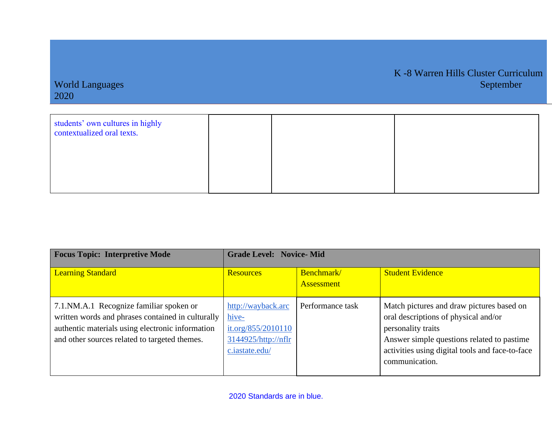| students' own cultures in highly<br>contextualized oral texts. |  |  |
|----------------------------------------------------------------|--|--|
|                                                                |  |  |
|                                                                |  |  |

| <b>Focus Topic: Interpretive Mode</b>                                                                                                                                                             | <b>Grade Level: Novice-Mid</b>                                                             |                                 |                                                                                                                                                                                                                            |  |
|---------------------------------------------------------------------------------------------------------------------------------------------------------------------------------------------------|--------------------------------------------------------------------------------------------|---------------------------------|----------------------------------------------------------------------------------------------------------------------------------------------------------------------------------------------------------------------------|--|
| <b>Learning Standard</b>                                                                                                                                                                          | <b>Resources</b>                                                                           | Benchmark/<br><b>Assessment</b> | <b>Student Evidence</b>                                                                                                                                                                                                    |  |
| 7.1.NM.A.1 Recognize familiar spoken or<br>written words and phrases contained in culturally<br>authentic materials using electronic information<br>and other sources related to targeted themes. | http://wayback.arc<br>hive-<br>it.org/855/2010110<br>3144925/http://nflr<br>c.iastate.edu/ | Performance task                | Match pictures and draw pictures based on<br>oral descriptions of physical and/or<br>personality traits<br>Answer simple questions related to pastime<br>activities using digital tools and face-to-face<br>communication. |  |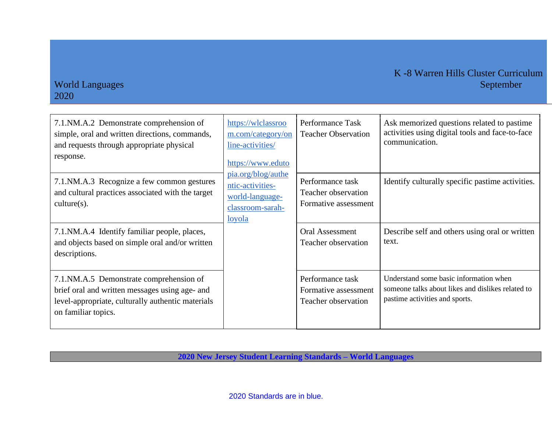#### K -8 Warren Hills Cluster Curriculum World Languages September 1989 and 2008 and 2008 and 2008 and 2008 and 2008 and 2008 and 2008 and 2008 and 200

### 2020

| 7.1.NM.A.2 Demonstrate comprehension of<br>simple, oral and written directions, commands,<br>and requests through appropriate physical<br>response.                   | https://wlclassroo<br>m.com/category/on<br>line-activities/<br>https://www.eduto<br>pia.org/blog/authe<br>ntic-activities-<br>world-language-<br>classroom-sarah-<br><u>loyola</u> | Performance Task<br><b>Teacher Observation</b>                  | Ask memorized questions related to pastime<br>activities using digital tools and face-to-face<br>communication.               |
|-----------------------------------------------------------------------------------------------------------------------------------------------------------------------|------------------------------------------------------------------------------------------------------------------------------------------------------------------------------------|-----------------------------------------------------------------|-------------------------------------------------------------------------------------------------------------------------------|
| 7.1.NM.A.3 Recognize a few common gestures<br>and cultural practices associated with the target<br>$culture(s)$ .                                                     |                                                                                                                                                                                    | Performance task<br>Teacher observation<br>Formative assessment | Identify culturally specific pastime activities.                                                                              |
| 7.1. NM.A.4 Identify familiar people, places,<br>and objects based on simple oral and/or written<br>descriptions.                                                     |                                                                                                                                                                                    | <b>Oral Assessment</b><br>Teacher observation                   | Describe self and others using oral or written<br>text.                                                                       |
| 7.1.NM.A.5 Demonstrate comprehension of<br>brief oral and written messages using age- and<br>level-appropriate, culturally authentic materials<br>on familiar topics. |                                                                                                                                                                                    | Performance task<br>Formative assessment<br>Teacher observation | Understand some basic information when<br>someone talks about likes and dislikes related to<br>pastime activities and sports. |

**2020 New Jersey Student Learning Standards – World Languages**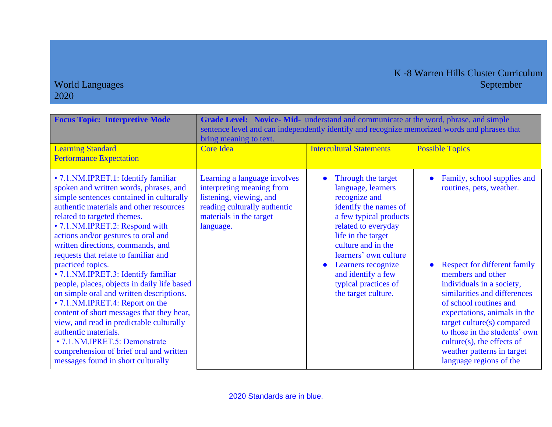| <b>Focus Topic: Interpretive Mode</b>                                                                                                                                                                                                                                                                                                                                                                                                                                                                                                                                                                                                                                                                                                                                                           | Grade Level: Novice-Mid- understand and communicate at the word, phrase, and simple<br>sentence level and can independently identify and recognize memorized words and phrases that<br>bring meaning to text. |                                                                                                                                                                                                                                                                                                                  |                                                                                                                                                                                                                                                                                                                                                                                                     |  |  |
|-------------------------------------------------------------------------------------------------------------------------------------------------------------------------------------------------------------------------------------------------------------------------------------------------------------------------------------------------------------------------------------------------------------------------------------------------------------------------------------------------------------------------------------------------------------------------------------------------------------------------------------------------------------------------------------------------------------------------------------------------------------------------------------------------|---------------------------------------------------------------------------------------------------------------------------------------------------------------------------------------------------------------|------------------------------------------------------------------------------------------------------------------------------------------------------------------------------------------------------------------------------------------------------------------------------------------------------------------|-----------------------------------------------------------------------------------------------------------------------------------------------------------------------------------------------------------------------------------------------------------------------------------------------------------------------------------------------------------------------------------------------------|--|--|
| <b>Learning Standard</b><br><b>Performance Expectation</b>                                                                                                                                                                                                                                                                                                                                                                                                                                                                                                                                                                                                                                                                                                                                      | <b>Core Idea</b>                                                                                                                                                                                              | <b>Intercultural Statements</b>                                                                                                                                                                                                                                                                                  | <b>Possible Topics</b>                                                                                                                                                                                                                                                                                                                                                                              |  |  |
| • 7.1. NM. IPRET. 1: Identify familiar<br>spoken and written words, phrases, and<br>simple sentences contained in culturally<br>authentic materials and other resources<br>related to targeted themes.<br>• 7.1. NM. IPRET. 2: Respond with<br>actions and/or gestures to oral and<br>written directions, commands, and<br>requests that relate to familiar and<br>practiced topics.<br>· 7.1. NM. IPRET.3: Identify familiar<br>people, places, objects in daily life based<br>on simple oral and written descriptions.<br>• 7.1.NM.IPRET.4: Report on the<br>content of short messages that they hear,<br>view, and read in predictable culturally<br>authentic materials.<br>• 7.1. NM.IPRET.5: Demonstrate<br>comprehension of brief oral and written<br>messages found in short culturally | Learning a language involves<br>interpreting meaning from<br>listening, viewing, and<br>reading culturally authentic<br>materials in the target<br>language.                                                  | Through the target<br>language, learners<br>recognize and<br>identify the names of<br>a few typical products<br>related to everyday<br>life in the target<br>culture and in the<br>learners' own culture<br>Learners recognize<br>$\bullet$<br>and identify a few<br>typical practices of<br>the target culture. | Family, school supplies and<br>routines, pets, weather.<br><b>Respect for different family</b><br>members and other<br>individuals in a society,<br>similarities and differences<br>of school routines and<br>expectations, animals in the<br>target culture(s) compared<br>to those in the students' own<br>$culture(s)$ , the effects of<br>weather patterns in target<br>language regions of the |  |  |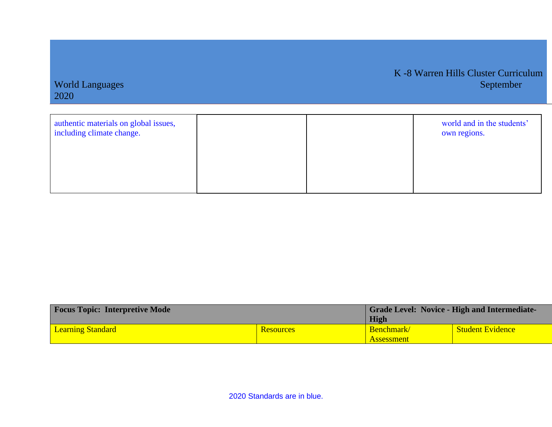| authentic materials on global issues,<br>including climate change. |  | world and in the students'<br>own regions. |
|--------------------------------------------------------------------|--|--------------------------------------------|
|                                                                    |  |                                            |

World Languages

2020

K -8 Warren Hills Cluster Curriculum

| <b>Focus Topic: Interpretive Mode</b> |                  | <b>Grade Level: Novice - High and Intermediate-</b> |                         |
|---------------------------------------|------------------|-----------------------------------------------------|-------------------------|
|                                       |                  | High                                                |                         |
| <b>Learning Standard</b>              | <b>Resources</b> | Benchmark/                                          | <b>Student Evidence</b> |
|                                       |                  | <b>Assessment</b>                                   |                         |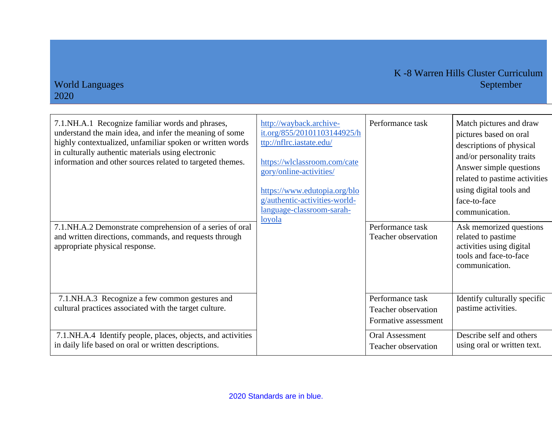| 7.1. NH.A.1 Recognize familiar words and phrases,<br>understand the main idea, and infer the meaning of some<br>highly contextualized, unfamiliar spoken or written words<br>in culturally authentic materials using electronic<br>information and other sources related to targeted themes.<br>7.1.NH.A.2 Demonstrate comprehension of a series of oral<br>and written directions, commands, and requests through<br>appropriate physical response. | http://wayback.archive-<br>it.org/855/20101103144925/h<br>ttp://nflrc.iastate.edu/<br>https://wlclassroom.com/cate<br>gory/online-activities/<br>https://www.edutopia.org/blo<br>g/authentic-activities-world-<br>language-classroom-sarah-<br>loyola | Performance task<br>Performance task<br>Teacher observation     | Match pictures and draw<br>pictures based on oral<br>descriptions of physical<br>and/or personality traits<br>Answer simple questions<br>related to pastime activities<br>using digital tools and<br>face-to-face<br>communication.<br>Ask memorized questions<br>related to pastime<br>activities using digital<br>tools and face-to-face<br>communication. |
|------------------------------------------------------------------------------------------------------------------------------------------------------------------------------------------------------------------------------------------------------------------------------------------------------------------------------------------------------------------------------------------------------------------------------------------------------|-------------------------------------------------------------------------------------------------------------------------------------------------------------------------------------------------------------------------------------------------------|-----------------------------------------------------------------|--------------------------------------------------------------------------------------------------------------------------------------------------------------------------------------------------------------------------------------------------------------------------------------------------------------------------------------------------------------|
| 7.1.NH.A.3 Recognize a few common gestures and<br>cultural practices associated with the target culture.                                                                                                                                                                                                                                                                                                                                             |                                                                                                                                                                                                                                                       | Performance task<br>Teacher observation<br>Formative assessment | Identify culturally specific<br>pastime activities.                                                                                                                                                                                                                                                                                                          |
| 7.1. NH.A.4 Identify people, places, objects, and activities<br>in daily life based on oral or written descriptions.                                                                                                                                                                                                                                                                                                                                 |                                                                                                                                                                                                                                                       | <b>Oral Assessment</b><br>Teacher observation                   | Describe self and others<br>using oral or written text.                                                                                                                                                                                                                                                                                                      |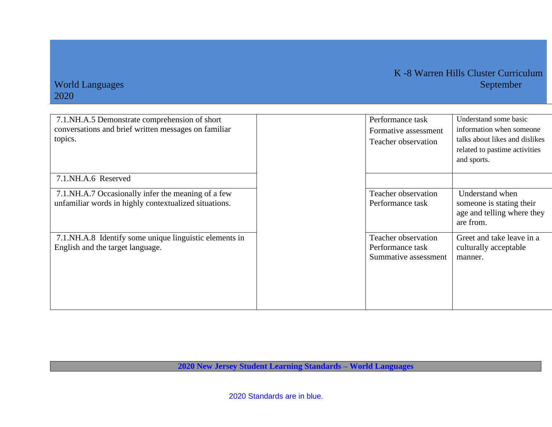#### K -8 Warren Hills Cluster Curriculum World Languages September 1989 and 2008 and 2008 and 2008 and 2008 and 2008 and 2008 and 2008 and 2008 and 200

### 2020

| 7.1.NH.A.5 Demonstrate comprehension of short<br>conversations and brief written messages on familiar<br>topics. | Performance task<br>Formative assessment<br>Teacher observation | Understand some basic<br>information when someone<br>talks about likes and dislikes<br>related to pastime activities<br>and sports. |
|------------------------------------------------------------------------------------------------------------------|-----------------------------------------------------------------|-------------------------------------------------------------------------------------------------------------------------------------|
| 7.1.NH.A.6 Reserved                                                                                              |                                                                 |                                                                                                                                     |
| 7.1. NH.A.7 Occasionally infer the meaning of a few<br>unfamiliar words in highly contextualized situations.     | Teacher observation<br>Performance task                         | Understand when<br>someone is stating their<br>age and telling where they<br>are from.                                              |
| 7.1.NH.A.8 Identify some unique linguistic elements in<br>English and the target language.                       | Teacher observation<br>Performance task<br>Summative assessment | Greet and take leave in a<br>culturally acceptable<br>manner.                                                                       |

**2020 New Jersey Student Learning Standards – World Languages**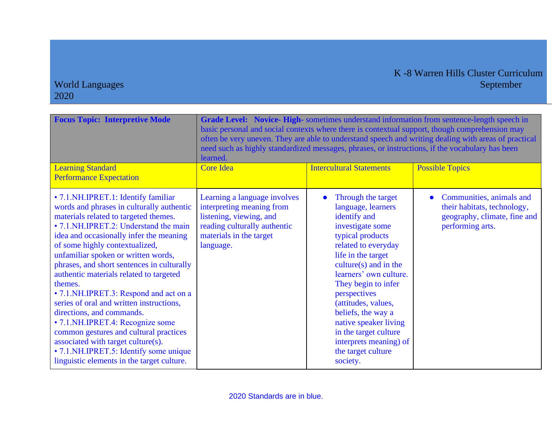| <b>Focus Topic: Interpretive Mode</b>                                                                                                                                                                                                                                                                                                                                                                                                                                                                                                                                                                                                                                                                                                 | Grade Level: Novice-High-sometimes understand information from sentence-length speech in<br>basic personal and social contexts where there is contextual support, though comprehension may<br>often be very uneven. They are able to understand speech and writing dealing with areas of practical<br>need such as highly standardized messages, phrases, or instructions, if the vocabulary has been<br>learned. |                                                                                                                                                                                                                                                                                                                                                                                                      |                                                                                                             |  |
|---------------------------------------------------------------------------------------------------------------------------------------------------------------------------------------------------------------------------------------------------------------------------------------------------------------------------------------------------------------------------------------------------------------------------------------------------------------------------------------------------------------------------------------------------------------------------------------------------------------------------------------------------------------------------------------------------------------------------------------|-------------------------------------------------------------------------------------------------------------------------------------------------------------------------------------------------------------------------------------------------------------------------------------------------------------------------------------------------------------------------------------------------------------------|------------------------------------------------------------------------------------------------------------------------------------------------------------------------------------------------------------------------------------------------------------------------------------------------------------------------------------------------------------------------------------------------------|-------------------------------------------------------------------------------------------------------------|--|
| <b>Learning Standard</b><br><b>Performance Expectation</b>                                                                                                                                                                                                                                                                                                                                                                                                                                                                                                                                                                                                                                                                            | <b>Core Idea</b>                                                                                                                                                                                                                                                                                                                                                                                                  | <b>Intercultural Statements</b>                                                                                                                                                                                                                                                                                                                                                                      | <b>Possible Topics</b>                                                                                      |  |
| • 7.1. NH. IPRET. 1: Identify familiar<br>words and phrases in culturally authentic<br>materials related to targeted themes.<br>• 7.1.NH.IPRET.2: Understand the main<br>idea and occasionally infer the meaning<br>of some highly contextualized,<br>unfamiliar spoken or written words,<br>phrases, and short sentences in culturally<br>authentic materials related to targeted<br>themes.<br>• 7.1. NH. IPRET. 3: Respond and act on a<br>series of oral and written instructions,<br>directions, and commands.<br>• 7.1. NH. IPRET. 4: Recognize some<br>common gestures and cultural practices<br>associated with target culture(s).<br>• 7.1. NH. IPRET. 5: Identify some unique<br>linguistic elements in the target culture. | Learning a language involves<br>interpreting meaning from<br>listening, viewing, and<br>reading culturally authentic<br>materials in the target<br>language.                                                                                                                                                                                                                                                      | Through the target<br>language, learners<br>identify and<br>investigate some<br>typical products<br>related to everyday<br>life in the target<br>$culture(s)$ and in the<br>learners' own culture.<br>They begin to infer<br>perspectives<br>(attitudes, values,<br>beliefs, the way a<br>native speaker living<br>in the target culture<br>interprets meaning) of<br>the target culture<br>society. | Communities, animals and<br>their habitats, technology,<br>geography, climate, fine and<br>performing arts. |  |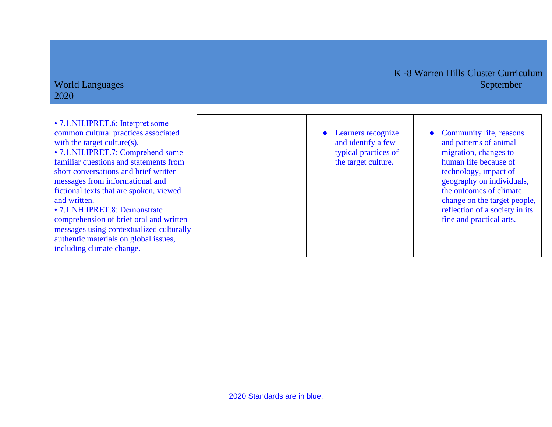| • 7.1. NH. IPRET. 6: Interpret some<br>common cultural practices associated<br>with the target culture(s).<br>• 7.1. NH.IPRET.7: Comprehend some<br>familiar questions and statements from<br>short conversations and brief written<br>messages from informational and<br>fictional texts that are spoken, viewed<br>and written.<br>• 7.1. NH.IPRET.8: Demonstrate<br>comprehension of brief oral and written<br>messages using contextualized culturally<br>authentic materials on global issues,<br>including climate change. | • Learners recognize<br>and identify a few<br>typical practices of<br>the target culture. | • Community life, reasons<br>and patterns of animal<br>migration, changes to<br>human life because of<br>technology, impact of<br>geography on individuals,<br>the outcomes of climate<br>change on the target people,<br>reflection of a society in its<br>fine and practical arts. |
|----------------------------------------------------------------------------------------------------------------------------------------------------------------------------------------------------------------------------------------------------------------------------------------------------------------------------------------------------------------------------------------------------------------------------------------------------------------------------------------------------------------------------------|-------------------------------------------------------------------------------------------|--------------------------------------------------------------------------------------------------------------------------------------------------------------------------------------------------------------------------------------------------------------------------------------|

World Languages

2020

K -8 Warren Hills Cluster Curriculum

2020 Standards are in blue.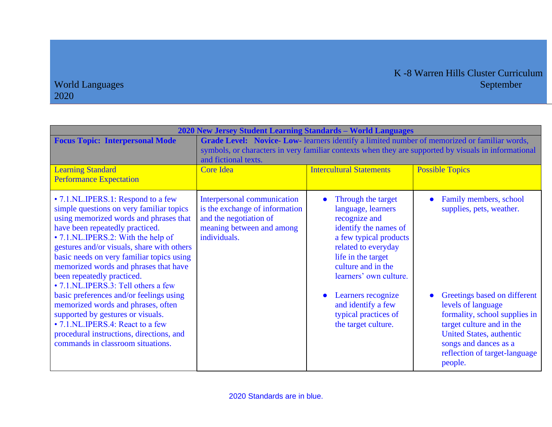| 2020 New Jersey Student Learning Standards - World Languages                                                                                                                                                                                                                                                                                                                                                                                                                                                                                                                                                                                          |                                                                                                                                                                                                                             |                                                                                                                                                                                                                                                                                                      |                                                                                                                                                                                                                                                                                |  |
|-------------------------------------------------------------------------------------------------------------------------------------------------------------------------------------------------------------------------------------------------------------------------------------------------------------------------------------------------------------------------------------------------------------------------------------------------------------------------------------------------------------------------------------------------------------------------------------------------------------------------------------------------------|-----------------------------------------------------------------------------------------------------------------------------------------------------------------------------------------------------------------------------|------------------------------------------------------------------------------------------------------------------------------------------------------------------------------------------------------------------------------------------------------------------------------------------------------|--------------------------------------------------------------------------------------------------------------------------------------------------------------------------------------------------------------------------------------------------------------------------------|--|
| <b>Focus Topic: Interpersonal Mode</b><br><b>Learning Standard</b>                                                                                                                                                                                                                                                                                                                                                                                                                                                                                                                                                                                    | Grade Level: Novice- Low-learners identify a limited number of memorized or familiar words,<br>symbols, or characters in very familiar contexts when they are supported by visuals in informational<br>and fictional texts. |                                                                                                                                                                                                                                                                                                      |                                                                                                                                                                                                                                                                                |  |
| <b>Performance Expectation</b>                                                                                                                                                                                                                                                                                                                                                                                                                                                                                                                                                                                                                        | <b>Core Idea</b>                                                                                                                                                                                                            | <b>Intercultural Statements</b>                                                                                                                                                                                                                                                                      | <b>Possible Topics</b>                                                                                                                                                                                                                                                         |  |
| • 7.1.NL.IPERS.1: Respond to a few<br>simple questions on very familiar topics<br>using memorized words and phrases that<br>have been repeatedly practiced.<br>• 7.1.NL.IPERS.2: With the help of<br>gestures and/or visuals, share with others<br>basic needs on very familiar topics using<br>memorized words and phrases that have<br>been repeatedly practiced.<br>• 7.1.NL.IPERS.3: Tell others a few<br>basic preferences and/or feelings using<br>memorized words and phrases, often<br>supported by gestures or visuals.<br>• 7.1.NL.IPERS.4: React to a few<br>procedural instructions, directions, and<br>commands in classroom situations. | Interpersonal communication<br>is the exchange of information<br>and the negotiation of<br>meaning between and among<br>individuals.                                                                                        | Through the target<br>language, learners<br>recognize and<br>identify the names of<br>a few typical products<br>related to everyday<br>life in the target<br>culture and in the<br>learners' own culture.<br>Learners recognize<br>and identify a few<br>typical practices of<br>the target culture. | Family members, school<br>supplies, pets, weather.<br>Greetings based on different<br>levels of language<br>formality, school supplies in<br>target culture and in the<br><b>United States, authentic</b><br>songs and dances as a<br>reflection of target-language<br>people. |  |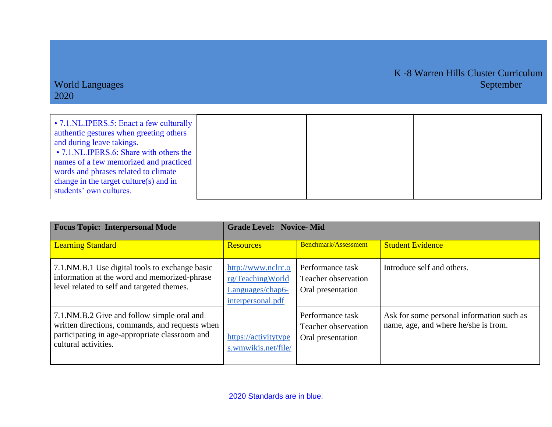| • 7.1.NL.IPERS.5: Enact a few culturally<br>authentic gestures when greeting others<br>and during leave takings.<br>• 7.1.NL.IPERS.6: Share with others the<br>names of a few memorized and practiced<br>words and phrases related to climate |  |  |
|-----------------------------------------------------------------------------------------------------------------------------------------------------------------------------------------------------------------------------------------------|--|--|
| change in the target culture(s) and in                                                                                                                                                                                                        |  |  |
| students' own cultures.                                                                                                                                                                                                                       |  |  |

| <b>Focus Topic: Interpersonal Mode</b>                                                                                                                                  | <b>Grade Level: Novice-Mid</b>                                                  |                                                              |                                                                                   |  |
|-------------------------------------------------------------------------------------------------------------------------------------------------------------------------|---------------------------------------------------------------------------------|--------------------------------------------------------------|-----------------------------------------------------------------------------------|--|
| <b>Learning Standard</b>                                                                                                                                                | <b>Resources</b>                                                                | Benchmark/Assessment                                         | <b>Student Evidence</b>                                                           |  |
| 7.1. NM.B.1 Use digital tools to exchange basic<br>information at the word and memorized-phrase<br>level related to self and targeted themes.                           | http://www.nclrc.o<br>rg/TeachingWorld<br>Languages/chap6-<br>interpersonal.pdf | Performance task<br>Teacher observation<br>Oral presentation | Introduce self and others.                                                        |  |
| 7.1.NM.B.2 Give and follow simple oral and<br>written directions, commands, and requests when<br>participating in age-appropriate classroom and<br>cultural activities. | https://activitytype<br>s.wmwikis.net/file/                                     | Performance task<br>Teacher observation<br>Oral presentation | Ask for some personal information such as<br>name, age, and where he/she is from. |  |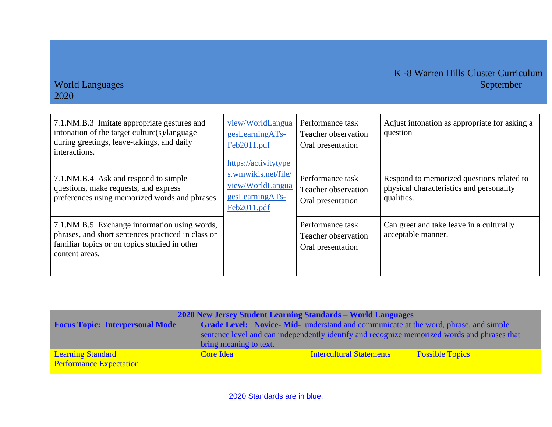## K -8 Warren Hills Cluster Curriculum<br>September

| 7.1.NM.B.3 Imitate appropriate gestures and<br>intonation of the target culture(s)/language<br>during greetings, leave-takings, and daily<br>interactions.              | view/WorldLangua<br>gesLearningATs-<br>Feb2011.pdf<br>https://activitytype | Performance task<br>Teacher observation<br>Oral presentation | Adjust intonation as appropriate for asking a<br>question                                           |
|-------------------------------------------------------------------------------------------------------------------------------------------------------------------------|----------------------------------------------------------------------------|--------------------------------------------------------------|-----------------------------------------------------------------------------------------------------|
| 7.1.NM.B.4 Ask and respond to simple<br>questions, make requests, and express<br>preferences using memorized words and phrases.                                         | s.wmwikis.net/file/<br>view/WorldLangua<br>gesLearningATs-<br>Feb2011.pdf  | Performance task<br>Teacher observation<br>Oral presentation | Respond to memorized questions related to<br>physical characteristics and personality<br>qualities. |
| 7.1. NM. B.5 Exchange information using words,<br>phrases, and short sentences practiced in class on<br>familiar topics or on topics studied in other<br>content areas. |                                                                            | Performance task<br>Teacher observation<br>Oral presentation | Can greet and take leave in a culturally<br>acceptable manner.                                      |

| 2020 New Jersey Student Learning Standards – World Languages |                                                                                              |                                 |                        |
|--------------------------------------------------------------|----------------------------------------------------------------------------------------------|---------------------------------|------------------------|
| <b>Focus Topic: Interpersonal Mode</b>                       | <b>Grade Level: Novice-Mid-</b> understand and communicate at the word, phrase, and simple   |                                 |                        |
|                                                              | sentence level and can independently identify and recognize memorized words and phrases that |                                 |                        |
|                                                              | bring meaning to text.                                                                       |                                 |                        |
| <b>Learning Standard</b>                                     | Core Idea                                                                                    | <b>Intercultural Statements</b> | <b>Possible Topics</b> |
| <b>Performance Expectation</b>                               |                                                                                              |                                 |                        |
|                                                              |                                                                                              |                                 |                        |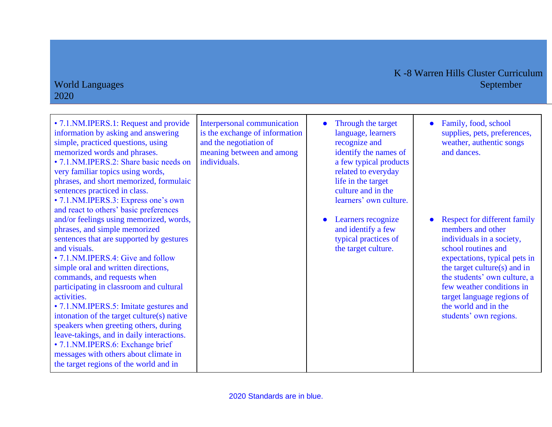| • 7.1. NM. IPERS. 1: Request and provide<br>information by asking and answering<br>simple, practiced questions, using<br>memorized words and phrases.<br>• 7.1. NM. IPERS. 2: Share basic needs on<br>very familiar topics using words,<br>phrases, and short memorized, formulaic<br>sentences practiced in class.<br>• 7.1. NM. IPERS. 3: Express one's own<br>and react to others' basic preferences                                                                                                                                                                                                                 | Interpersonal communication<br>is the exchange of information<br>and the negotiation of<br>meaning between and among<br>individuals. | Through the target<br>language, learners<br>recognize and<br>identify the names of<br>a few typical products<br>related to everyday<br>life in the target<br>culture and in the<br>learners' own culture. | Family, food, school<br>$\bullet$<br>supplies, pets, preferences,<br>weather, authentic songs<br>and dances.                                                                                                                                                                                                               |
|-------------------------------------------------------------------------------------------------------------------------------------------------------------------------------------------------------------------------------------------------------------------------------------------------------------------------------------------------------------------------------------------------------------------------------------------------------------------------------------------------------------------------------------------------------------------------------------------------------------------------|--------------------------------------------------------------------------------------------------------------------------------------|-----------------------------------------------------------------------------------------------------------------------------------------------------------------------------------------------------------|----------------------------------------------------------------------------------------------------------------------------------------------------------------------------------------------------------------------------------------------------------------------------------------------------------------------------|
| and/or feelings using memorized, words,<br>phrases, and simple memorized<br>sentences that are supported by gestures<br>and visuals.<br>• 7.1. NM. IPERS. 4: Give and follow<br>simple oral and written directions,<br>commands, and requests when<br>participating in classroom and cultural<br>activities.<br>• 7.1. NM. IPERS. 5: Imitate gestures and<br>intonation of the target culture(s) native<br>speakers when greeting others, during<br>leave-takings, and in daily interactions.<br>• 7.1. NM. IPERS. 6: Exchange brief<br>messages with others about climate in<br>the target regions of the world and in |                                                                                                                                      | Learners recognize<br>and identify a few<br>typical practices of<br>the target culture.                                                                                                                   | <b>Respect for different family</b><br>members and other<br>individuals in a society,<br>school routines and<br>expectations, typical pets in<br>the target culture(s) and in<br>the students' own culture, a<br>few weather conditions in<br>target language regions of<br>the world and in the<br>students' own regions. |

#### World Languages 2020

## K -8 Warren Hills Cluster Curriculum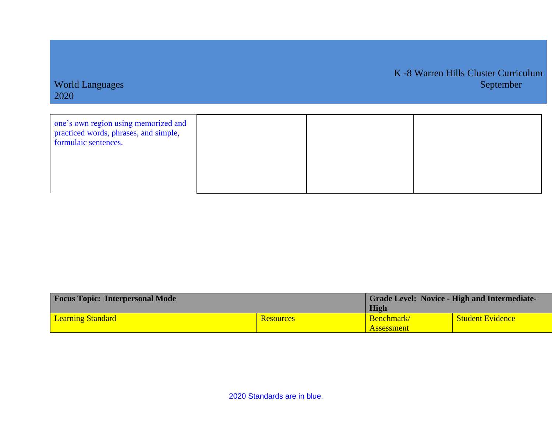| 2020                                                                                                  |  |  |
|-------------------------------------------------------------------------------------------------------|--|--|
| one's own region using memorized and<br>practiced words, phrases, and simple,<br>formulaic sentences. |  |  |

World Languages September 2008 and the separative contract of the separative contract of the September 3 September

K -8 Warren Hills Cluster Curriculum

| <b>Focus Topic: Interpersonal Mode</b> |                  | <b>Grade Level: Novice - High and Intermediate-</b> |                         |
|----------------------------------------|------------------|-----------------------------------------------------|-------------------------|
|                                        |                  | High                                                |                         |
| <b>Learning Standard</b>               | <b>Resources</b> | <b>Benchmark</b>                                    | <b>Student Evidence</b> |
|                                        |                  | <b>Assessment</b>                                   |                         |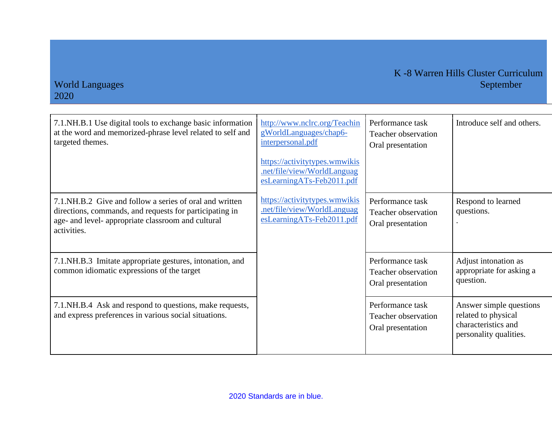| 7.1. NH.B.1 Use digital tools to exchange basic information<br>at the word and memorized-phrase level related to self and<br>targeted themes.                                            | http://www.nclrc.org/Teachin<br>gWorldLanguages/chap6-<br>interpersonal.pdf<br>https://activitytypes.wmwikis<br>.net/file/view/WorldLanguag<br>esLearningATs-Feb2011.pdf | Performance task<br>Teacher observation<br>Oral presentation | Introduce self and others.                                                                      |
|------------------------------------------------------------------------------------------------------------------------------------------------------------------------------------------|--------------------------------------------------------------------------------------------------------------------------------------------------------------------------|--------------------------------------------------------------|-------------------------------------------------------------------------------------------------|
| 7.1. NH.B.2 Give and follow a series of oral and written<br>directions, commands, and requests for participating in<br>age- and level- appropriate classroom and cultural<br>activities. | https://activitytypes.wmwikis<br>.net/file/view/WorldLanguag<br>esLearningATs-Feb2011.pdf                                                                                | Performance task<br>Teacher observation<br>Oral presentation | Respond to learned<br>questions.                                                                |
| 7.1.NH.B.3 Imitate appropriate gestures, intonation, and<br>common idiomatic expressions of the target                                                                                   |                                                                                                                                                                          | Performance task<br>Teacher observation<br>Oral presentation | Adjust intonation as<br>appropriate for asking a<br>question.                                   |
| 7.1. NH.B.4 Ask and respond to questions, make requests,<br>and express preferences in various social situations.                                                                        |                                                                                                                                                                          | Performance task<br>Teacher observation<br>Oral presentation | Answer simple questions<br>related to physical<br>characteristics and<br>personality qualities. |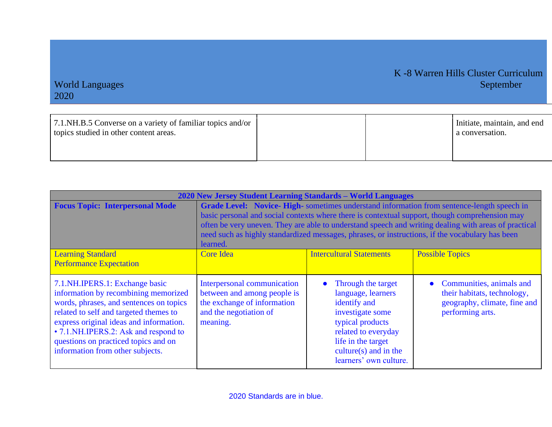| 7.1. NH.B.5 Converse on a variety of familiar topics and/or<br>topics studied in other content areas. |  | Initiate, maintain, and end<br>a conversation. |
|-------------------------------------------------------------------------------------------------------|--|------------------------------------------------|
|                                                                                                       |  |                                                |

| 2020 New Jersey Student Learning Standards - World Languages                                                                                                                                                                                                                                                                     |                                                                                                                                                                                                                                                                                                                                                                                                                   |                                                                                                                                                                                                     |                                                                                                               |
|----------------------------------------------------------------------------------------------------------------------------------------------------------------------------------------------------------------------------------------------------------------------------------------------------------------------------------|-------------------------------------------------------------------------------------------------------------------------------------------------------------------------------------------------------------------------------------------------------------------------------------------------------------------------------------------------------------------------------------------------------------------|-----------------------------------------------------------------------------------------------------------------------------------------------------------------------------------------------------|---------------------------------------------------------------------------------------------------------------|
| <b>Focus Topic: Interpersonal Mode</b>                                                                                                                                                                                                                                                                                           | Grade Level: Novice-High-sometimes understand information from sentence-length speech in<br>basic personal and social contexts where there is contextual support, though comprehension may<br>often be very uneven. They are able to understand speech and writing dealing with areas of practical<br>need such as highly standardized messages, phrases, or instructions, if the vocabulary has been<br>learned. |                                                                                                                                                                                                     |                                                                                                               |
| <b>Learning Standard</b><br><b>Performance Expectation</b>                                                                                                                                                                                                                                                                       | <b>Core Idea</b>                                                                                                                                                                                                                                                                                                                                                                                                  | <b>Intercultural Statements</b>                                                                                                                                                                     | <b>Possible Topics</b>                                                                                        |
| 7.1. NH. IPERS. 1: Exchange basic<br>information by recombining memorized<br>words, phrases, and sentences on topics<br>related to self and targeted themes to<br>express original ideas and information.<br>• 7.1. NH. IPERS. 2: Ask and respond to<br>questions on practiced topics and on<br>information from other subjects. | Interpersonal communication<br>between and among people is<br>the exchange of information<br>and the negotiation of<br>meaning.                                                                                                                                                                                                                                                                                   | Through the target<br>language, learners<br>identify and<br>investigate some<br>typical products<br>related to everyday<br>life in the target<br>culture $(s)$ and in the<br>learners' own culture. | • Communities, animals and<br>their habitats, technology,<br>geography, climate, fine and<br>performing arts. |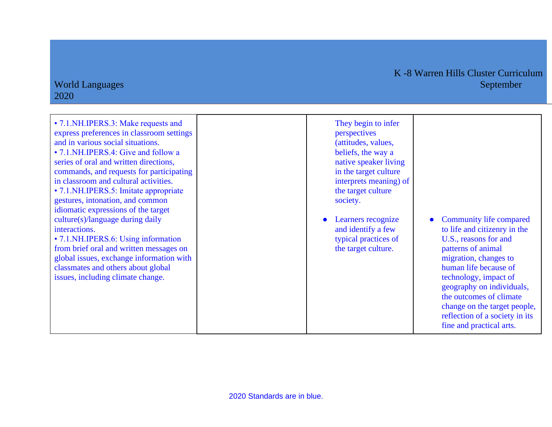#### K -8 Warren Hills Cluster Curriculum World Languages September

### 2020

| They begin to infer<br>perspectives<br>(attitudes, values,<br>beliefs, the way a<br>native speaker living<br>in the target culture<br>interprets meaning) of<br>the target culture<br>society. |                                     |
|------------------------------------------------------------------------------------------------------------------------------------------------------------------------------------------------|-------------------------------------|
| Learners recognize<br>and identify a few<br>typical practices of<br>the target culture.                                                                                                        | l `on<br>to li<br>US<br>patt<br>mig |

mmunity life compared ife and citizenry in the ., reasons for and terns of animal gration, changes to human life because of technology, impact of geography on individuals, the outcomes of climate change on the target people, reflection of a society in its fine and practical arts.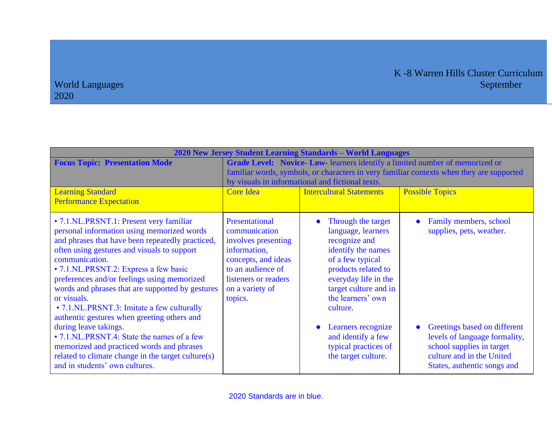| 2020 New Jersey Student Learning Standards - World Languages                                                                                                                                                                                                                                                                                                                                                                                                                                                                                                                                                                                                                   |                                                                                                                                                                                                                                                                                                              |                                                                                                                                                                                                                                                                                                                      |                                                                                                                                                                                                              |
|--------------------------------------------------------------------------------------------------------------------------------------------------------------------------------------------------------------------------------------------------------------------------------------------------------------------------------------------------------------------------------------------------------------------------------------------------------------------------------------------------------------------------------------------------------------------------------------------------------------------------------------------------------------------------------|--------------------------------------------------------------------------------------------------------------------------------------------------------------------------------------------------------------------------------------------------------------------------------------------------------------|----------------------------------------------------------------------------------------------------------------------------------------------------------------------------------------------------------------------------------------------------------------------------------------------------------------------|--------------------------------------------------------------------------------------------------------------------------------------------------------------------------------------------------------------|
| <b>Focus Topic: Presentation Mode</b><br><b>Learning Standard</b><br><b>Performance Expectation</b>                                                                                                                                                                                                                                                                                                                                                                                                                                                                                                                                                                            | Grade Level: Novice- Low-learners identify a limited number of memorized or<br>familiar words, symbols, or characters in very familiar contexts when they are supported<br>by visuals in informational and fictional texts.<br><b>Intercultural Statements</b><br><b>Possible Topics</b><br><b>Core Idea</b> |                                                                                                                                                                                                                                                                                                                      |                                                                                                                                                                                                              |
| • 7.1.NL.PRSNT.1: Present very familiar<br>personal information using memorized words<br>and phrases that have been repeatedly practiced,<br>often using gestures and visuals to support<br>communication.<br>• 7.1.NL.PRSNT.2: Express a few basic<br>preferences and/or feelings using memorized<br>words and phrases that are supported by gestures<br>or visuals.<br>• 7.1.NL.PRSNT.3: Imitate a few culturally<br>authentic gestures when greeting others and<br>during leave takings.<br>• 7.1.NL.PRSNT.4: State the names of a few<br>memorized and practiced words and phrases<br>related to climate change in the target culture(s)<br>and in students' own cultures. | Presentational<br>communication<br>involves presenting<br>information,<br>concepts, and ideas<br>to an audience of<br>listeners or readers<br>on a variety of<br>topics.                                                                                                                                     | Through the target<br>language, learners<br>recognize and<br>identify the names<br>of a few typical<br>products related to<br>everyday life in the<br>target culture and in<br>the learners' own<br>culture.<br>Learners recognize<br>$\bullet$<br>and identify a few<br>typical practices of<br>the target culture. | Family members, school<br>supplies, pets, weather.<br>Greetings based on different<br>levels of language formality,<br>school supplies in target<br>culture and in the United<br>States, authentic songs and |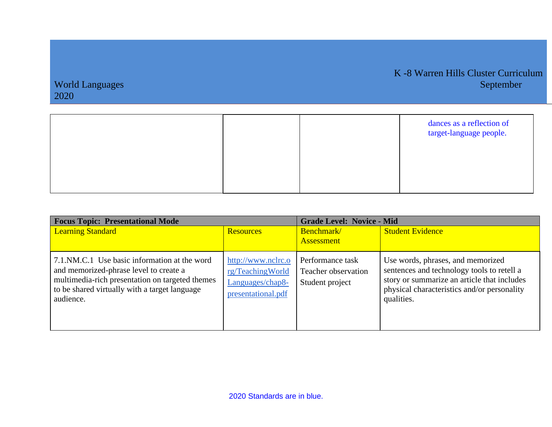|  | dances as a reflection of<br>target-language people. |
|--|------------------------------------------------------|
|  |                                                      |
|  |                                                      |

| <b>Focus Topic: Presentational Mode</b>                                                                                                                                                                 |                                                                                  | <b>Grade Level: Novice - Mid</b>                           |                                                                                                                                                                                             |  |
|---------------------------------------------------------------------------------------------------------------------------------------------------------------------------------------------------------|----------------------------------------------------------------------------------|------------------------------------------------------------|---------------------------------------------------------------------------------------------------------------------------------------------------------------------------------------------|--|
| <b>Learning Standard</b>                                                                                                                                                                                | <b>Resources</b>                                                                 | Benchmark/<br><b>Assessment</b>                            | <b>Student Evidence</b>                                                                                                                                                                     |  |
| 7.1.NM.C.1 Use basic information at the word<br>and memorized-phrase level to create a<br>multimedia-rich presentation on targeted themes<br>to be shared virtually with a target language<br>audience. | http://www.nclrc.o<br>rg/TeachingWorld<br>Languages/chap8-<br>presentational.pdf | Performance task<br>Teacher observation<br>Student project | Use words, phrases, and memorized<br>sentences and technology tools to retell a<br>story or summarize an article that includes<br>physical characteristics and/or personality<br>qualities. |  |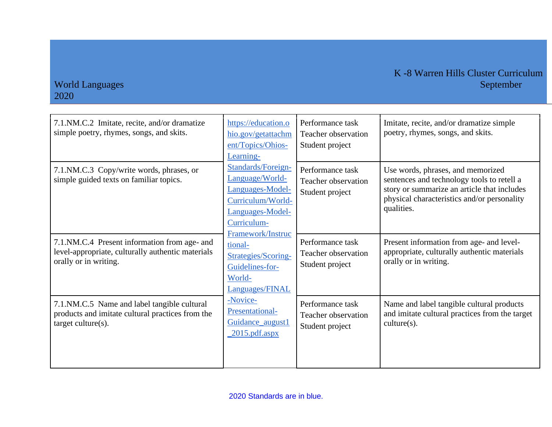| 7.1.NM.C.2 Imitate, recite, and/or dramatize<br>simple poetry, rhymes, songs, and skits.                                    | https://education.o<br>hio.gov/getattachm<br>ent/Topics/Ohios-<br>Learning-                                       | Performance task<br>Teacher observation<br>Student project | Imitate, recite, and/or dramatize simple<br>poetry, rhymes, songs, and skits.                                                                                                               |
|-----------------------------------------------------------------------------------------------------------------------------|-------------------------------------------------------------------------------------------------------------------|------------------------------------------------------------|---------------------------------------------------------------------------------------------------------------------------------------------------------------------------------------------|
| 7.1.NM.C.3 Copy/write words, phrases, or<br>simple guided texts on familiar topics.                                         | Standards/Foreign-<br>Language/World-<br>Languages-Model-<br>Curriculum/World-<br>Languages-Model-<br>Curriculum- | Performance task<br>Teacher observation<br>Student project | Use words, phrases, and memorized<br>sentences and technology tools to retell a<br>story or summarize an article that includes<br>physical characteristics and/or personality<br>qualities. |
| 7.1.NM.C.4 Present information from age- and<br>level-appropriate, culturally authentic materials<br>orally or in writing.  | Framework/Instruc<br>tional-<br>Strategies/Scoring-<br>Guidelines-for-<br>World-<br>Languages/FINAL               | Performance task<br>Teacher observation<br>Student project | Present information from age- and level-<br>appropriate, culturally authentic materials<br>orally or in writing.                                                                            |
| 7.1.NM.C.5 Name and label tangible cultural<br>products and imitate cultural practices from the<br>$target$ culture $(s)$ . | -Novice-<br>Presentational-<br>Guidance_august1<br>$2015.pdf$ .aspx                                               | Performance task<br>Teacher observation<br>Student project | Name and label tangible cultural products<br>and imitate cultural practices from the target<br>$culture(s)$ .                                                                               |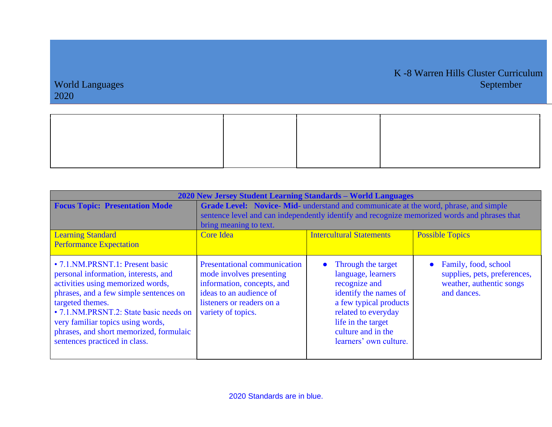| 2020 New Jersey Student Learning Standards - World Languages                                                                                                                                                                                                                                                                             |                                                                                                                                                                                     |                                                                                                                                                                                                           |                                                                                                 |  |
|------------------------------------------------------------------------------------------------------------------------------------------------------------------------------------------------------------------------------------------------------------------------------------------------------------------------------------------|-------------------------------------------------------------------------------------------------------------------------------------------------------------------------------------|-----------------------------------------------------------------------------------------------------------------------------------------------------------------------------------------------------------|-------------------------------------------------------------------------------------------------|--|
| <b>Focus Topic: Presentation Mode</b>                                                                                                                                                                                                                                                                                                    | Grade Level: Novice-Mid- understand and communicate at the word, phrase, and simple<br>sentence level and can independently identify and recognize memorized words and phrases that |                                                                                                                                                                                                           |                                                                                                 |  |
|                                                                                                                                                                                                                                                                                                                                          | bring meaning to text.                                                                                                                                                              |                                                                                                                                                                                                           |                                                                                                 |  |
| <b>Learning Standard</b><br><b>Performance Expectation</b>                                                                                                                                                                                                                                                                               | <b>Intercultural Statements</b><br><b>Possible Topics</b><br><b>Core Idea</b>                                                                                                       |                                                                                                                                                                                                           |                                                                                                 |  |
| • 7.1. NM. PRSNT. 1: Present basic<br>personal information, interests, and<br>activities using memorized words,<br>phrases, and a few simple sentences on<br>targeted themes.<br>• 7.1.NM.PRSNT.2: State basic needs on<br>very familiar topics using words,<br>phrases, and short memorized, formulaic<br>sentences practiced in class. | <b>Presentational communication</b><br>mode involves presenting<br>information, concepts, and<br>ideas to an audience of<br>listeners or readers on a<br>variety of topics.         | Through the target<br>language, learners<br>recognize and<br>identify the names of<br>a few typical products<br>related to everyday<br>life in the target<br>culture and in the<br>learners' own culture. | Family, food, school<br>supplies, pets, preferences,<br>weather, authentic songs<br>and dances. |  |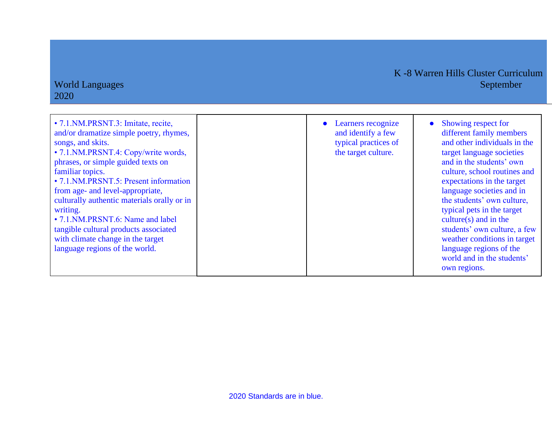| • 7.1. NM. PRSNT. 3: Imitate, recite,<br>and/or dramatize simple poetry, rhymes,<br>songs, and skits.<br>• 7.1. NM. PRSNT. 4: Copy/write words,<br>phrases, or simple guided texts on<br>familiar topics.<br>• 7.1. NM. PRSNT. 5: Present information<br>from age- and level-appropriate,<br>culturally authentic materials orally or in<br>writing.<br>• 7.1. NM. PRSNT. 6: Name and label<br>tangible cultural products associated<br>with climate change in the target<br>language regions of the world. | Learners recognize<br>and identify a few<br>typical practices of<br>the target culture. | Showing respect for<br>$\bullet$<br>different family members<br>and other individuals in the<br>target language societies<br>and in the students' own<br>culture, school routines and<br>expectations in the target<br>language societies and in<br>the students' own culture,<br>typical pets in the target<br>culture $(s)$ and in the<br>students' own culture, a few<br>weather conditions in target<br>language regions of the<br>world and in the students'<br>own regions. |
|-------------------------------------------------------------------------------------------------------------------------------------------------------------------------------------------------------------------------------------------------------------------------------------------------------------------------------------------------------------------------------------------------------------------------------------------------------------------------------------------------------------|-----------------------------------------------------------------------------------------|-----------------------------------------------------------------------------------------------------------------------------------------------------------------------------------------------------------------------------------------------------------------------------------------------------------------------------------------------------------------------------------------------------------------------------------------------------------------------------------|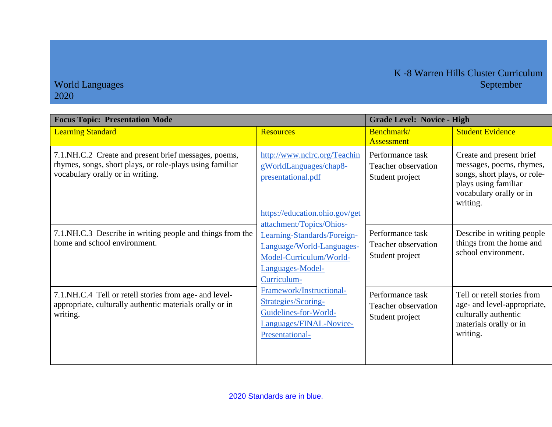| <b>Focus Topic: Presentation Mode</b>                                                                                                                | <b>Grade Level: Novice - High</b>                                                                                                                  |                                                                   |                                                                                                                                                     |
|------------------------------------------------------------------------------------------------------------------------------------------------------|----------------------------------------------------------------------------------------------------------------------------------------------------|-------------------------------------------------------------------|-----------------------------------------------------------------------------------------------------------------------------------------------------|
| <b>Learning Standard</b>                                                                                                                             | <b>Resources</b>                                                                                                                                   | Benchmark/<br><b>Assessment</b>                                   | <b>Student Evidence</b>                                                                                                                             |
| 7.1.NH.C.2 Create and present brief messages, poems,<br>rhymes, songs, short plays, or role-plays using familiar<br>vocabulary orally or in writing. | http://www.nclrc.org/Teachin<br>gWorldLanguages/chap8-<br>presentational.pdf<br>https://education.ohio.gov/get                                     | Performance task<br>Teacher observation<br>Student project        | Create and present brief<br>messages, poems, rhymes,<br>songs, short plays, or role-<br>plays using familiar<br>vocabulary orally or in<br>writing. |
| 7.1. NH.C.3 Describe in writing people and things from the<br>home and school environment.                                                           | attachment/Topics/Ohios-<br>Learning-Standards/Foreign-<br>Language/World-Languages-<br>Model-Curriculum/World-<br>Languages-Model-<br>Curriculum- | Performance task<br>Teacher observation<br>Student project        | Describe in writing people<br>things from the home and<br>school environment.                                                                       |
| 7.1.NH.C.4 Tell or retell stories from age- and level-<br>appropriate, culturally authentic materials orally or in<br>writing.                       | Framework/Instructional-<br>Strategies/Scoring-<br>Guidelines-for-World-<br>Languages/FINAL-Novice-<br>Presentational-                             | Performance task<br><b>Teacher observation</b><br>Student project | Tell or retell stories from<br>age- and level-appropriate,<br>culturally authentic<br>materials orally or in<br>writing.                            |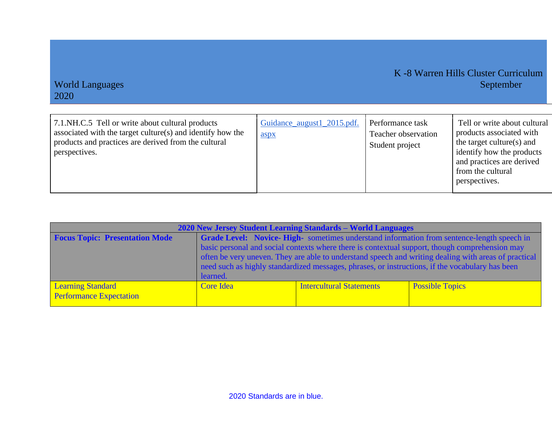| 7.1.NH.C.5 Tell or write about cultural products<br>associated with the target culture(s) and identify how the<br>products and practices are derived from the cultural<br>perspectives. | Guidance_august1_2015.pdf.<br>aspx | Performance task<br>Teacher observation<br>Student project | Tell or write about cultural<br>products associated with<br>the target culture(s) and<br>identify how the products<br>and practices are derived<br>from the cultural<br>perspectives. |
|-----------------------------------------------------------------------------------------------------------------------------------------------------------------------------------------|------------------------------------|------------------------------------------------------------|---------------------------------------------------------------------------------------------------------------------------------------------------------------------------------------|
|                                                                                                                                                                                         |                                    |                                                            |                                                                                                                                                                                       |

| 2020 New Jersey Student Learning Standards – World Languages |                                                                                                      |                          |                        |  |
|--------------------------------------------------------------|------------------------------------------------------------------------------------------------------|--------------------------|------------------------|--|
| <b>Focus Topic: Presentation Mode</b>                        | Grade Level: Novice-High- sometimes understand information from sentence-length speech in            |                          |                        |  |
|                                                              | basic personal and social contexts where there is contextual support, though comprehension may       |                          |                        |  |
|                                                              | often be very uneven. They are able to understand speech and writing dealing with areas of practical |                          |                        |  |
|                                                              | need such as highly standardized messages, phrases, or instructions, if the vocabulary has been      |                          |                        |  |
|                                                              | learned.                                                                                             |                          |                        |  |
| <b>Learning Standard</b>                                     | <b>Core Idea</b>                                                                                     | Intercultural Statements | <b>Possible Topics</b> |  |
| <b>Performance Expectation</b>                               |                                                                                                      |                          |                        |  |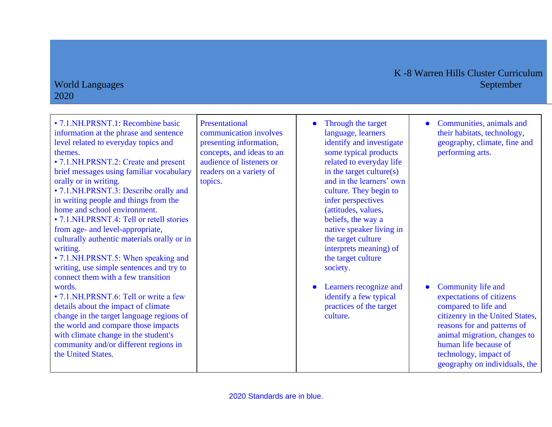#### World Languages 2020

# K -8 Warren Hills Cluster Curriculum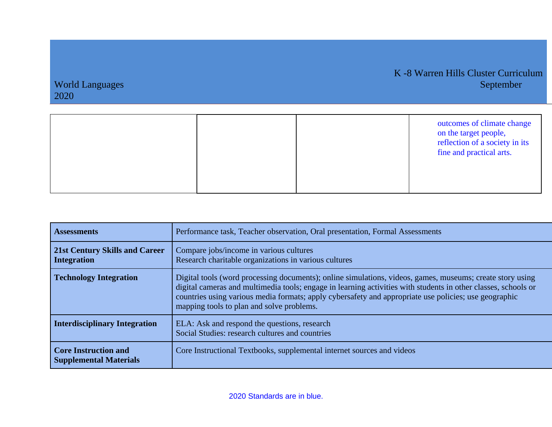|  | outcomes of climate change<br>on the target people,<br>reflection of a society in its<br>fine and practical arts. |
|--|-------------------------------------------------------------------------------------------------------------------|
|  |                                                                                                                   |

| <b>Assessments</b>                                           | Performance task, Teacher observation, Oral presentation, Formal Assessments                                                                                                                                                                                                                                                                                                      |
|--------------------------------------------------------------|-----------------------------------------------------------------------------------------------------------------------------------------------------------------------------------------------------------------------------------------------------------------------------------------------------------------------------------------------------------------------------------|
| <b>21st Century Skills and Career</b><br>Integration         | Compare jobs/income in various cultures<br>Research charitable organizations in various cultures                                                                                                                                                                                                                                                                                  |
| <b>Technology Integration</b>                                | Digital tools (word processing documents); online simulations, videos, games, museums; create story using<br>digital cameras and multimedia tools; engage in learning activities with students in other classes, schools or<br>countries using various media formats; apply cybersafety and appropriate use policies; use geographic<br>mapping tools to plan and solve problems. |
| Interdisciplinary Integration                                | ELA: Ask and respond the questions, research<br>Social Studies: research cultures and countries                                                                                                                                                                                                                                                                                   |
| <b>Core Instruction and</b><br><b>Supplemental Materials</b> | Core Instructional Textbooks, supplemental internet sources and videos                                                                                                                                                                                                                                                                                                            |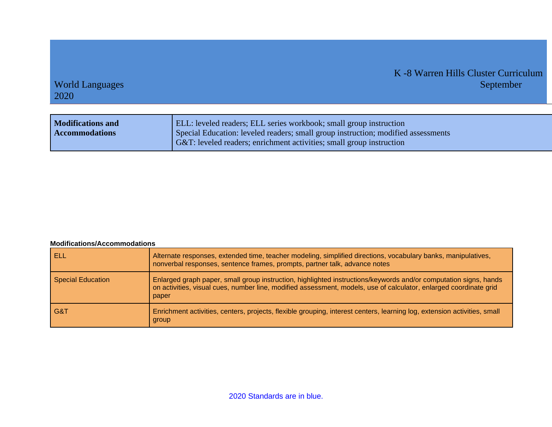#### K -8 Warren Hills Cluster Curriculum World Languages September 1989 and 2008 and 2008 and 2008 and 2008 and 2008 and 2008 and 2008 and 2008 and 200

### 2020

| <b>Modifications and</b><br><b>Accommodations</b> | <b>ELL:</b> leveled readers; ELL series workbook; small group instruction<br>(Special Education: leveled readers; small group instruction; modified assessments<br>G&T: leveled readers; enrichment activities; small group instruction |
|---------------------------------------------------|-----------------------------------------------------------------------------------------------------------------------------------------------------------------------------------------------------------------------------------------|
|---------------------------------------------------|-----------------------------------------------------------------------------------------------------------------------------------------------------------------------------------------------------------------------------------------|

#### **Modifications/Accommodations**

| ELL                      | Alternate responses, extended time, teacher modeling, simplified directions, vocabulary banks, manipulatives,<br>nonverbal responses, sentence frames, prompts, partner talk, advance notes                                                    |
|--------------------------|------------------------------------------------------------------------------------------------------------------------------------------------------------------------------------------------------------------------------------------------|
| <b>Special Education</b> | Enlarged graph paper, small group instruction, highlighted instructions/keywords and/or computation signs, hands<br>on activities, visual cues, number line, modified assessment, models, use of calculator, enlarged coordinate grid<br>paper |
| G&T                      | Enrichment activities, centers, projects, flexible grouping, interest centers, learning log, extension activities, small<br>group                                                                                                              |